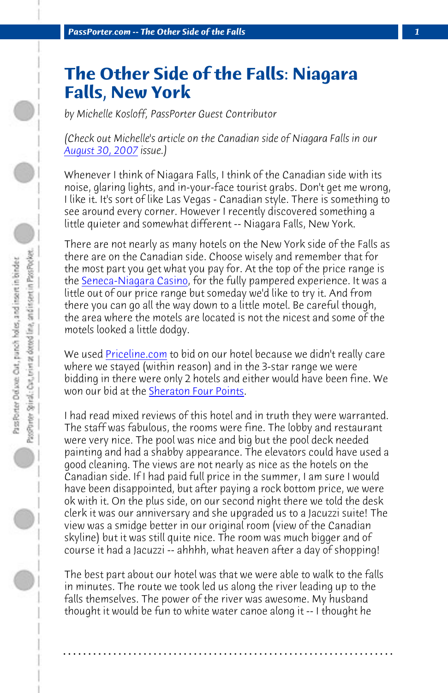*PassPorter.com -- The Other Side of the Falls 1*

## **T[he Other Side](http://www.senecaniagaracasino.com/) of the Falls: Niagara Falls, New York**

*by Michelle Kosloff, PassPorter Guest Contributor*

*(Check out Michelle's article on the Canadian side of Niagara Falls in our August 3[0, 2007 issue.\)](http://www.priceline.com/)* 

Whenever I think of Niagara Falls, I think of the Canadian side with its noise, glaring light[s, and in-your-face to](http://www.starwoodhotels.com/fourpoints/property/overview/index.html?propertyID=10)urist grabs. Don't get me wrong, I like it. It's sort of like Las Vegas - Canadian style. There is something to see around every corner. However I recently discovered something a little quieter and somewhat different -- Niagara Falls, New York.

There are not nearly as many hotels on the New York side of the Falls as there are on the Canadian side. Choose wisely and remember that for the most part you get what you pay for. At the top of the price range is the Seneca-Niagara Casino, for the fully pampered experience. It was a little out of our price range but someday we'd like to try it. And from there you can go all the way down to a little motel. Be careful though, the area where the motels are located is not the nicest and some of the motels looked a little dodgy.

We used Priceline.com to bid on our hotel because we didn't really care where we stayed (within reason) and in the 3-star range we were bidding in there were only 2 hotels and either would have been fine. We won our bid at the Sheraton Four Points.

I had read mixed reviews of this hotel and in truth they were warranted. The staff was fabulous, the rooms were fine. The lobby and restaurant were very nice. The pool was nice and big but the pool deck needed painting and had a shabby appearance. The elevators could have used a good cleaning. The views are not nearly as nice as the hotels on the Canadian side. If I had paid full price in the summer, I am sure I would have been disappointed, but after paying a rock bottom price, we were ok with it. On the plus side, on our second night there we told the desk clerk it was our anniversary and she upgraded us to a Jacuzzi suite! The view was a smidge better in our original room (view of the Canadian skyline) but it was still quite nice. The room was much bigger and of course it had a Jacuzzi -- ahhhh, what heaven after a day of shopping!

The best part about our hotel was that we were able to walk to the falls in minutes. The route we took led us along the river leading up to the falls themselves. The power of the river was awesome. My husband thought it would be fun to white water canoe along it -- I thought he

**. . . . . . . . . . . . . . . . . . . . . . . . . . . . . . . . . . . . . . . . . . . . . . . . . . . . . . . . . . . . . . . . . .**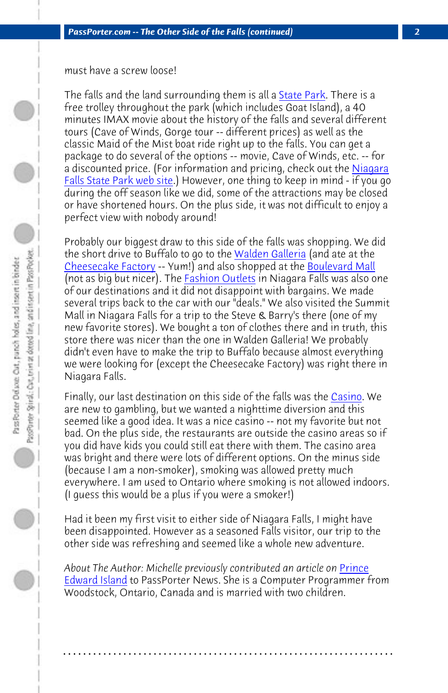*PassPorter.com -- The Other Side of the Falls (continued) 2*

[must have a screw lo](http://www.thecheesecakefactory.com/)ose!

The falls and the land surrounding them is all a **State Park.** There is a free trolley throughout the park (which includes Goat Island), a 40 minutes IMAX movie about the history of the falls and several different tours (Cave of Winds, Gorge tour -- different prices) as well as the classic Maid of the Mist boat ride right up to the falls. You can get a package to do several of the options -- movie, Cave of Winds, etc. -- for a discounted price. (For information and pricing, check out the Niagara Falls State Park web site.) However, one thing to keep in mind - if you go during the off season like we did, some of the attractions [may be c](http://www.senecaniagaracasino.com/)losed or have shortened hours. On the plus side, it was not difficult to enjoy a perfect view with nobody around!

Probably our biggest draw to this side of the falls was shopping. We did the short drive to Buffalo to go to the Walden Galleria (and ate at the Cheesecake Factory -- Yum!) and also shopped at the Boulevard Mall (not as big but nicer). The **Fashion Outlets** in Niagara Falls was also one of our destinations and it did not disappoint with bargains. We made several trips back to the car with our "deals." We also visited the Summit Mall in Niagara Falls for a trip to the Steve & Barry's there (one of my new favorite stores). We bought a ton of clothes there and in truth, this store there was nicer than the one in Walden Galleria! We probably didn't even have to make the trip to Buffalo because almost everything we were looking for (except the Cheesecake Factory) was ri[ght ther](http://www.passporter.com/articles/prince-edward-island.asp)e in [Niagara Falls.](http://www.passporter.com/articles/prince-edward-island.asp)

Finally, our last destination on this side of the falls was the Casino. We are new to gambling, but we wanted a nighttime diversion and this seemed like a good idea. It was a nice casino -- not my favorite but not bad. On the plus side, the restaurants are outside the casino areas so if you did have kids you could still eat there with them. The casino area was bright and there were lots of different options. On the minus side (because I am a non-smoker), smoking was allowed pretty much everywhere. I am used to Ontario where smoking is not allowed indoors. (I guess this would be a plus if you were a smoker!)

Had it been my first visit to either side of Niagara Falls, I might have been disappointed. However as a seasoned Falls visitor, our trip to the other side was refreshing and seemed like a whole new adventure.

About The Author: Michelle previously contributed an article on **Prince** Edward Island to PassPorter News. She is a Computer Programmer from Woodstock, Ontario, Canada and is married with two children.

**. . . . . . . . . . . . . . . . . . . . . . . . . . . . . . . . . . . . . . . . . . . . . . . . . . . . . . . . . . . . . . . . . .**